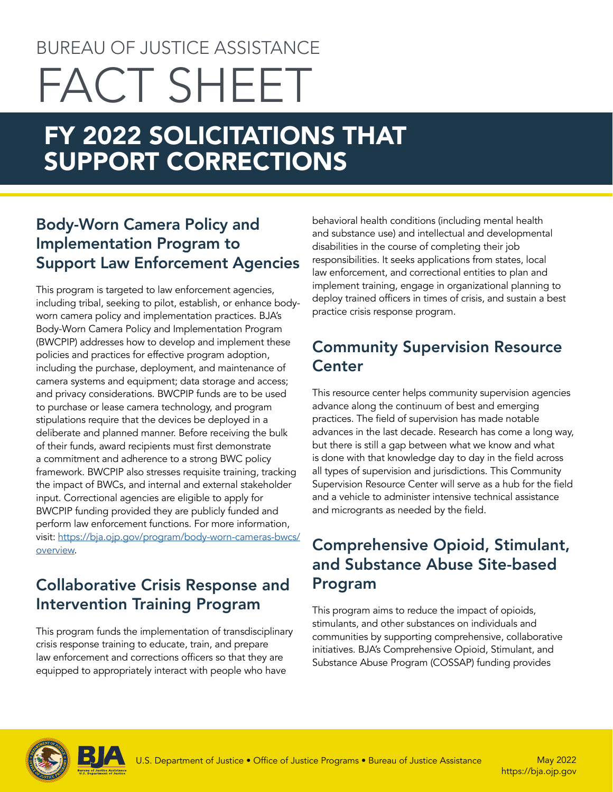# BUREAU OF JUSTICE ASSISTANCE FACT SHEET

# FY 2022 SOLICITATIONS THAT SUPPORT CORRECTIONS

# Body-Worn Camera Policy and Implementation Program to Support Law Enforcement Agencies

This program is targeted to law enforcement agencies, including tribal, seeking to pilot, establish, or enhance bodyworn camera policy and implementation practices. BJA's Body-Worn Camera Policy and Implementation Program (BWCPIP) addresses how to develop and implement these policies and practices for effective program adoption, including the purchase, deployment, and maintenance of camera systems and equipment; data storage and access; and privacy considerations. BWCPIP funds are to be used to purchase or lease camera technology, and program stipulations require that the devices be deployed in a deliberate and planned manner. Before receiving the bulk of their funds, award recipients must first demonstrate a commitment and adherence to a strong BWC policy framework. BWCPIP also stresses requisite training, tracking the impact of BWCs, and internal and external stakeholder input. Correctional agencies are eligible to apply for BWCPIP funding provided they are publicly funded and perform law enforcement functions. For more information, visit: [https://bja.ojp.gov/program/body-worn-cameras-bwcs/](https://bja.ojp.gov/program/body-worn-cameras-bwcs/overview) [overview](https://bja.ojp.gov/program/body-worn-cameras-bwcs/overview).

# Collaborative Crisis Response and Intervention Training Program

This program funds the implementation of transdisciplinary crisis response training to educate, train, and prepare law enforcement and corrections officers so that they are equipped to appropriately interact with people who have

behavioral health conditions (including mental health and substance use) and intellectual and developmental disabilities in the course of completing their job responsibilities. It seeks applications from states, local law enforcement, and correctional entities to plan and implement training, engage in organizational planning to deploy trained officers in times of crisis, and sustain a best practice crisis response program.

# Community Supervision Resource **Center**

This resource center helps community supervision agencies advance along the continuum of best and emerging practices. The field of supervision has made notable advances in the last decade. Research has come a long way, but there is still a gap between what we know and what is done with that knowledge day to day in the field across all types of supervision and jurisdictions. This Community Supervision Resource Center will serve as a hub for the field and a vehicle to administer intensive technical assistance and microgrants as needed by the field.

# Comprehensive Opioid, Stimulant, and Substance Abuse Site-based Program

This program aims to reduce the impact of opioids, stimulants, and other substances on individuals and communities by supporting comprehensive, collaborative initiatives. BJA's Comprehensive Opioid, Stimulant, and Substance Abuse Program (COSSAP) funding provides

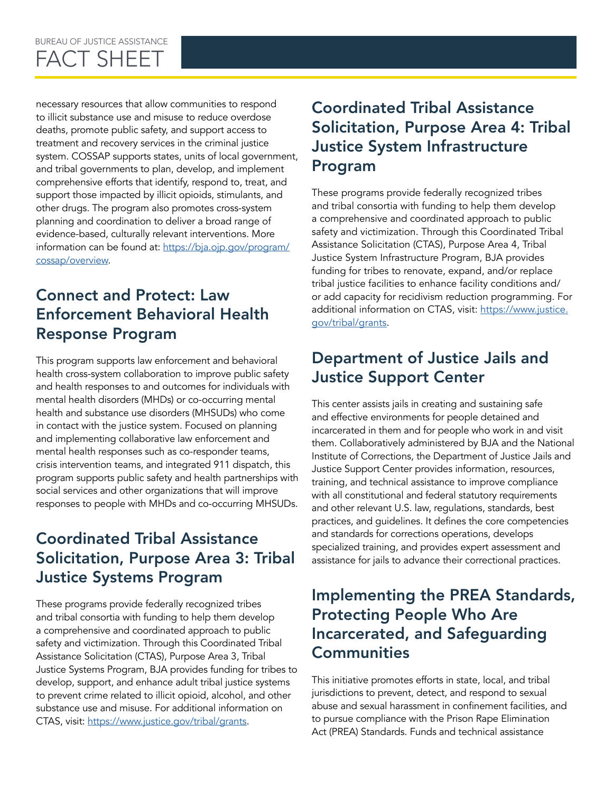necessary resources that allow communities to respond to illicit substance use and misuse to reduce overdose deaths, promote public safety, and support access to treatment and recovery services in the criminal justice system. COSSAP supports states, units of local government, and tribal governments to plan, develop, and implement comprehensive efforts that identify, respond to, treat, and support those impacted by illicit opioids, stimulants, and other drugs. The program also promotes cross-system planning and coordination to deliver a broad range of evidence-based, culturally relevant interventions. More information can be found at: [https://bja.ojp.gov/program/](https://bja.ojp.gov/program/cossap/overview) [cossap/overview.](https://bja.ojp.gov/program/cossap/overview)

# Connect and Protect: Law Enforcement Behavioral Health Response Program

This program supports law enforcement and behavioral health cross-system collaboration to improve public safety and health responses to and outcomes for individuals with mental health disorders (MHDs) or co-occurring mental health and substance use disorders (MHSUDs) who come in contact with the justice system. Focused on planning and implementing collaborative law enforcement and mental health responses such as co-responder teams, crisis intervention teams, and integrated 911 dispatch, this program supports public safety and health partnerships with social services and other organizations that will improve responses to people with MHDs and co-occurring MHSUDs.

# Coordinated Tribal Assistance Solicitation, Purpose Area 3: Tribal Justice Systems Program

These programs provide federally recognized tribes and tribal consortia with funding to help them develop a comprehensive and coordinated approach to public safety and victimization. Through this Coordinated Tribal Assistance Solicitation (CTAS), Purpose Area 3, Tribal Justice Systems Program, BJA provides funding for tribes to develop, support, and enhance adult tribal justice systems to prevent crime related to illicit opioid, alcohol, and other substance use and misuse. For additional information on CTAS, visit: <https://www.justice.gov/tribal/grants>.

# Coordinated Tribal Assistance Solicitation, Purpose Area 4: Tribal Justice System Infrastructure Program

These programs provide federally recognized tribes and tribal consortia with funding to help them develop a comprehensive and coordinated approach to public safety and victimization. Through this Coordinated Tribal Assistance Solicitation (CTAS), Purpose Area 4, Tribal Justice System Infrastructure Program, BJA provides funding for tribes to renovate, expand, and/or replace tribal justice facilities to enhance facility conditions and/ or add capacity for recidivism reduction programming. For additional information on CTAS, visit: [https://www.justice.](https://www.justice.gov/tribal/grants) [gov/tribal/grants](https://www.justice.gov/tribal/grants).

# Department of Justice Jails and Justice Support Center

This center assists jails in creating and sustaining safe and effective environments for people detained and incarcerated in them and for people who work in and visit them. Collaboratively administered by BJA and the National Institute of Corrections, the Department of Justice Jails and Justice Support Center provides information, resources, training, and technical assistance to improve compliance with all constitutional and federal statutory requirements and other relevant U.S. law, regulations, standards, best practices, and guidelines. It defines the core competencies and standards for corrections operations, develops specialized training, and provides expert assessment and assistance for jails to advance their correctional practices.

# Implementing the PREA Standards, Protecting People Who Are Incarcerated, and Safeguarding **Communities**

This initiative promotes efforts in state, local, and tribal jurisdictions to prevent, detect, and respond to sexual abuse and sexual harassment in confinement facilities, and to pursue compliance with the Prison Rape Elimination Act (PREA) Standards. Funds and technical assistance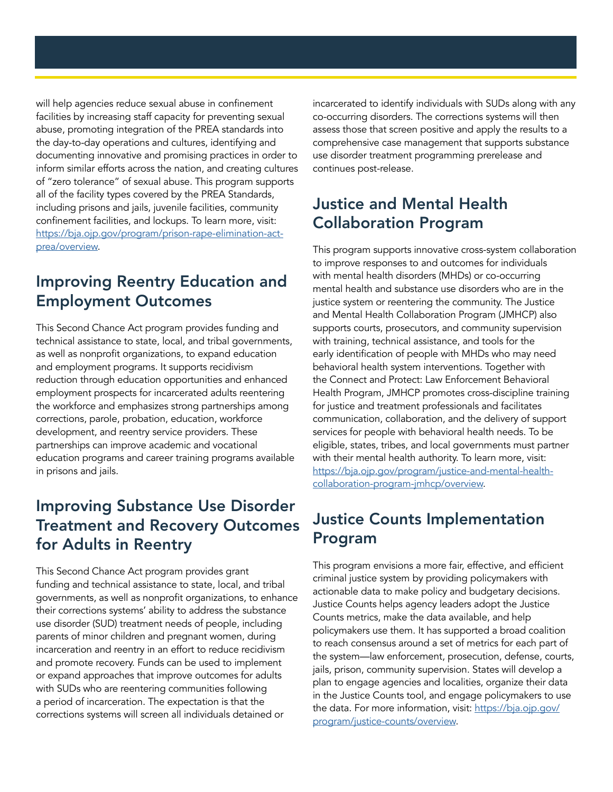will help agencies reduce sexual abuse in confinement facilities by increasing staff capacity for preventing sexual abuse, promoting integration of the PREA standards into the day-to-day operations and cultures, identifying and documenting innovative and promising practices in order to inform similar efforts across the nation, and creating cultures of "zero tolerance" of sexual abuse. This program supports all of the facility types covered by the PREA Standards, including prisons and jails, juvenile facilities, community confinement facilities, and lockups. To learn more, visit: [https://bja.ojp.gov/program/prison-rape-elimination-act](https://bja.ojp.gov/program/prison-rape-elimination-act-prea/overview)[prea/overview](https://bja.ojp.gov/program/prison-rape-elimination-act-prea/overview).

#### Improving Reentry Education and Employment Outcomes

This Second Chance Act program provides funding and technical assistance to state, local, and tribal governments, as well as nonprofit organizations, to expand education and employment programs. It supports recidivism reduction through education opportunities and enhanced employment prospects for incarcerated adults reentering the workforce and emphasizes strong partnerships among corrections, parole, probation, education, workforce development, and reentry service providers. These partnerships can improve academic and vocational education programs and career training programs available in prisons and jails.

#### Improving Substance Use Disorder Treatment and Recovery Outcomes for Adults in Reentry

This Second Chance Act program provides grant funding and technical assistance to state, local, and tribal governments, as well as nonprofit organizations, to enhance their corrections systems' ability to address the substance use disorder (SUD) treatment needs of people, including parents of minor children and pregnant women, during incarceration and reentry in an effort to reduce recidivism and promote recovery. Funds can be used to implement or expand approaches that improve outcomes for adults with SUDs who are reentering communities following a period of incarceration. The expectation is that the corrections systems will screen all individuals detained or

incarcerated to identify individuals with SUDs along with any co-occurring disorders. The corrections systems will then assess those that screen positive and apply the results to a comprehensive case management that supports substance use disorder treatment programming prerelease and continues post-release.

#### Justice and Mental Health Collaboration Program

This program supports innovative cross-system collaboration to improve responses to and outcomes for individuals with mental health disorders (MHDs) or co-occurring mental health and substance use disorders who are in the justice system or reentering the community. The Justice and Mental Health Collaboration Program (JMHCP) also supports courts, prosecutors, and community supervision with training, technical assistance, and tools for the early identification of people with MHDs who may need behavioral health system interventions. Together with the Connect and Protect: Law Enforcement Behavioral Health Program, JMHCP promotes cross-discipline training for justice and treatment professionals and facilitates communication, collaboration, and the delivery of support services for people with behavioral health needs. To be eligible, states, tribes, and local governments must partner with their mental health authority. To learn more, visit: [https://bja.ojp.gov/program/justice-and-mental-health](https://bja.ojp.gov/program/justice-and-mental-health-collaboration-program-jmhcp/overview)[collaboration-program-jmhcp/overview.](https://bja.ojp.gov/program/justice-and-mental-health-collaboration-program-jmhcp/overview)

# Justice Counts Implementation Program

This program envisions a more fair, effective, and efficient criminal justice system by providing policymakers with actionable data to make policy and budgetary decisions. Justice Counts helps agency leaders adopt the Justice Counts metrics, make the data available, and help policymakers use them. It has supported a broad coalition to reach consensus around a set of metrics for each part of the system—law enforcement, prosecution, defense, courts, jails, prison, community supervision. States will develop a plan to engage agencies and localities, organize their data in the Justice Counts tool, and engage policymakers to use the data. For more information, visit: [https://bja.ojp.gov/](https://bja.ojp.gov/program/justice-counts/overview) [program/justice-counts/overview](https://bja.ojp.gov/program/justice-counts/overview).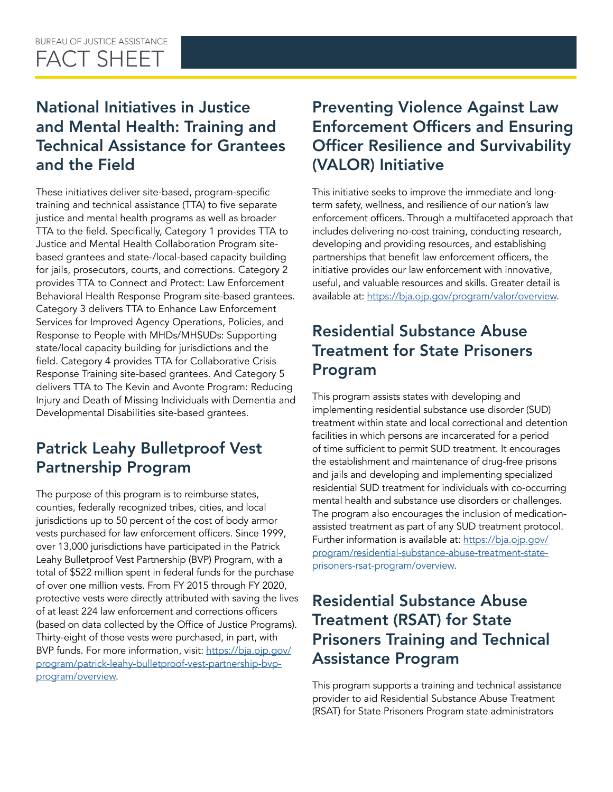#### BUREAU OF JUSTICE ASSISTANCE FACT SHEET

# National Initiatives in Justice and Mental Health: Training and Technical Assistance for Grantees and the Field

These initiatives deliver site-based, program-specific training and technical assistance (TTA) to five separate justice and mental health programs as well as broader TTA to the field. Specifically, Category 1 provides TTA to Justice and Mental Health Collaboration Program sitebased grantees and state-/local-based capacity building for jails, prosecutors, courts, and corrections. Category 2 provides TTA to Connect and Protect: Law Enforcement Behavioral Health Response Program site-based grantees. Category 3 delivers TTA to Enhance Law Enforcement Services for Improved Agency Operations, Policies, and Response to People with MHDs/MHSUDs: Supporting state/local capacity building for jurisdictions and the field. Category 4 provides TTA for Collaborative Crisis Response Training site-based grantees. And Category 5 delivers TTA to The Kevin and Avonte Program: Reducing Injury and Death of Missing Individuals with Dementia and Developmental Disabilities site-based grantees.

# Patrick Leahy Bulletproof Vest Partnership Program

The purpose of this program is to reimburse states, counties, federally recognized tribes, cities, and local jurisdictions up to 50 percent of the cost of body armor vests purchased for law enforcement officers. Since 1999, over 13,000 jurisdictions have participated in the Patrick Leahy Bulletproof Vest Partnership (BVP) Program, with a total of \$522 million spent in federal funds for the purchase of over one million vests. From FY 2015 through FY 2020, protective vests were directly attributed with saving the lives of at least 224 law enforcement and corrections officers (based on data collected by the Office of Justice Programs). Thirty-eight of those vests were purchased, in part, with BVP funds. For more information, visit: [https://bja.ojp.gov/](https://bja.ojp.gov/program/patrick-leahy-bulletproof-vest-partnership-bvp-program/overview) [program/patrick-leahy-bulletproof-vest-partnership-bvp](https://bja.ojp.gov/program/patrick-leahy-bulletproof-vest-partnership-bvp-program/overview)[program/overview](https://bja.ojp.gov/program/patrick-leahy-bulletproof-vest-partnership-bvp-program/overview).

# Preventing Violence Against Law Enforcement Officers and Ensuring Officer Resilience and Survivability (VALOR) Initiative

This initiative seeks to improve the immediate and longterm safety, wellness, and resilience of our nation's law enforcement officers. Through a multifaceted approach that includes delivering no-cost training, conducting research, developing and providing resources, and establishing partnerships that benefit law enforcement officers, the initiative provides our law enforcement with innovative, useful, and valuable resources and skills. Greater detail is available at: [https://bja.ojp.gov/program/valor/overview.](https://bja.ojp.gov/program/valor/overview)

# Residential Substance Abuse Treatment for State Prisoners Program

This program assists states with developing and implementing residential substance use disorder (SUD) treatment within state and local correctional and detention facilities in which persons are incarcerated for a period of time sufficient to permit SUD treatment. It encourages the establishment and maintenance of drug-free prisons and jails and developing and implementing specialized residential SUD treatment for individuals with co-occurring mental health and substance use disorders or challenges. The program also encourages the inclusion of medicationassisted treatment as part of any SUD treatment protocol. Further information is available at: [https://bja.ojp.gov/](https://bja.ojp.gov/program/residential-substance-abuse-treatment-state-prisoners-rsat-program/overview) [program/residential-substance-abuse-treatment-state](https://bja.ojp.gov/program/residential-substance-abuse-treatment-state-prisoners-rsat-program/overview)[prisoners-rsat-program/overview](https://bja.ojp.gov/program/residential-substance-abuse-treatment-state-prisoners-rsat-program/overview).

# Residential Substance Abuse Treatment (RSAT) for State Prisoners Training and Technical Assistance Program

This program supports a training and technical assistance provider to aid Residential Substance Abuse Treatment (RSAT) for State Prisoners Program state administrators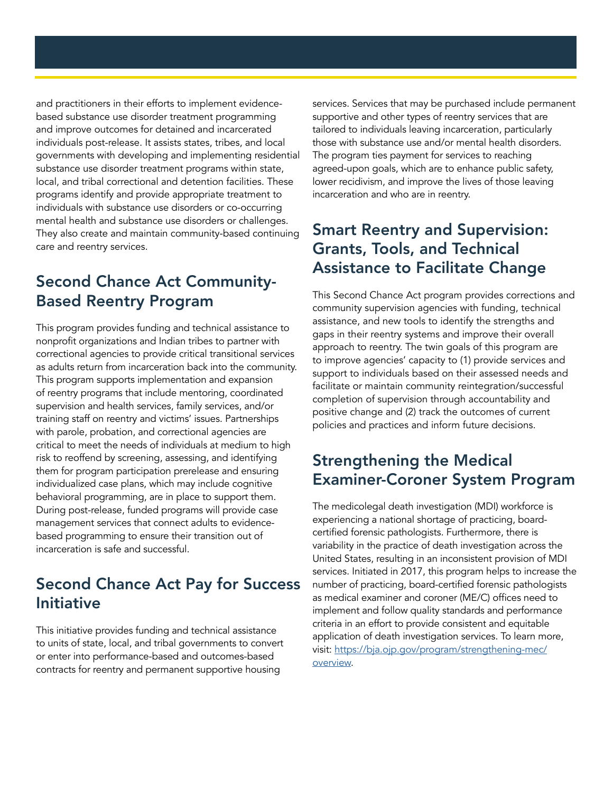and practitioners in their efforts to implement evidencebased substance use disorder treatment programming and improve outcomes for detained and incarcerated individuals post-release. It assists states, tribes, and local governments with developing and implementing residential substance use disorder treatment programs within state, local, and tribal correctional and detention facilities. These programs identify and provide appropriate treatment to individuals with substance use disorders or co-occurring mental health and substance use disorders or challenges. They also create and maintain community-based continuing care and reentry services.

#### Second Chance Act Community-Based Reentry Program

This program provides funding and technical assistance to nonprofit organizations and Indian tribes to partner with correctional agencies to provide critical transitional services as adults return from incarceration back into the community. This program supports implementation and expansion of reentry programs that include mentoring, coordinated supervision and health services, family services, and/or training staff on reentry and victims' issues. Partnerships with parole, probation, and correctional agencies are critical to meet the needs of individuals at medium to high risk to reoffend by screening, assessing, and identifying them for program participation prerelease and ensuring individualized case plans, which may include cognitive behavioral programming, are in place to support them. During post-release, funded programs will provide case management services that connect adults to evidencebased programming to ensure their transition out of incarceration is safe and successful.

# Second Chance Act Pay for Success Initiative

This initiative provides funding and technical assistance to units of state, local, and tribal governments to convert or enter into performance-based and outcomes-based contracts for reentry and permanent supportive housing

services. Services that may be purchased include permanent supportive and other types of reentry services that are tailored to individuals leaving incarceration, particularly those with substance use and/or mental health disorders. The program ties payment for services to reaching agreed-upon goals, which are to enhance public safety, lower recidivism, and improve the lives of those leaving incarceration and who are in reentry.

#### Smart Reentry and Supervision: Grants, Tools, and Technical Assistance to Facilitate Change

This Second Chance Act program provides corrections and community supervision agencies with funding, technical assistance, and new tools to identify the strengths and gaps in their reentry systems and improve their overall approach to reentry. The twin goals of this program are to improve agencies' capacity to (1) provide services and support to individuals based on their assessed needs and facilitate or maintain community reintegration/successful completion of supervision through accountability and positive change and (2) track the outcomes of current policies and practices and inform future decisions.

#### Strengthening the Medical Examiner-Coroner System Program

The medicolegal death investigation (MDI) workforce is experiencing a national shortage of practicing, boardcertified forensic pathologists. Furthermore, there is variability in the practice of death investigation across the United States, resulting in an inconsistent provision of MDI services. Initiated in 2017, this program helps to increase the number of practicing, board-certified forensic pathologists as medical examiner and coroner (ME/C) offices need to implement and follow quality standards and performance criteria in an effort to provide consistent and equitable application of death investigation services. To learn more, visit: [https://bja.ojp.gov/program/strengthening-mec/](https://bja.ojp.gov/program/strengthening-mec/overview) [overview](https://bja.ojp.gov/program/strengthening-mec/overview).